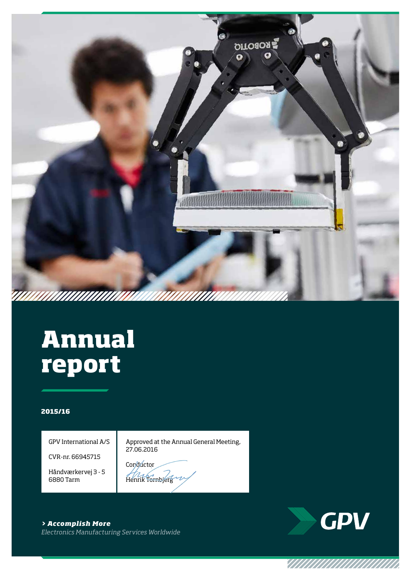

# **Annual report**

#### **2015/16**

GPV International A/S

CVR-nr. 66945715

Håndværkervej 3 - 5 6880 Tarm

Approved at the Annual General Meeting, 27.06.2016

Conductor Henrik Tornbjerg

**GPV** 

VIIIIIIIIIIIIIIIIIIIII

*> Accomplish More Electronics Manufacturing Services Worldwide*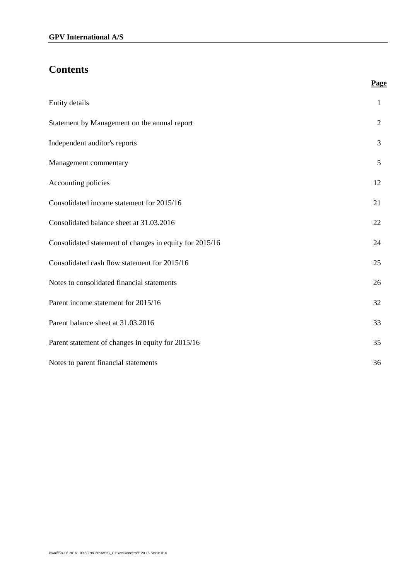# **Contents**

| Entity details                                          | $\mathbf{1}$   |
|---------------------------------------------------------|----------------|
| Statement by Management on the annual report            | $\overline{2}$ |
| Independent auditor's reports                           | 3              |
| Management commentary                                   | 5              |
| Accounting policies                                     | 12             |
| Consolidated income statement for 2015/16               | 21             |
| Consolidated balance sheet at 31.03.2016                | 22             |
| Consolidated statement of changes in equity for 2015/16 | 24             |
| Consolidated cash flow statement for 2015/16            | 25             |
| Notes to consolidated financial statements              | 26             |
| Parent income statement for 2015/16                     | 32             |
| Parent balance sheet at 31.03.2016                      | 33             |
| Parent statement of changes in equity for 2015/16       | 35             |
| Notes to parent financial statements                    | 36             |

**Page**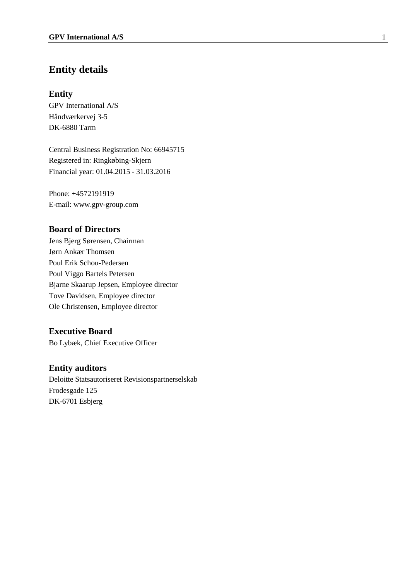# **Entity details**

#### **Entity**

GPV International A/S Håndværkervej 3-5 DK-6880 Tarm

Central Business Registration No: 66945715 Registered in: Ringkøbing-Skjern Financial year: 01.04.2015 - 31.03.2016

Phone: +4572191919 E-mail: www.gpv-group.com

#### **Board of Directors**

Jens Bjerg Sørensen, Chairman Jørn Ankær Thomsen Poul Erik Schou-Pedersen Poul Viggo Bartels Petersen Bjarne Skaarup Jepsen, Employee director Tove Davidsen, Employee director Ole Christensen, Employee director

### **Executive Board**

Bo Lybæk, Chief Executive Officer

#### **Entity auditors**

Deloitte Statsautoriseret Revisionspartnerselskab Frodesgade 125 DK-6701 Esbjerg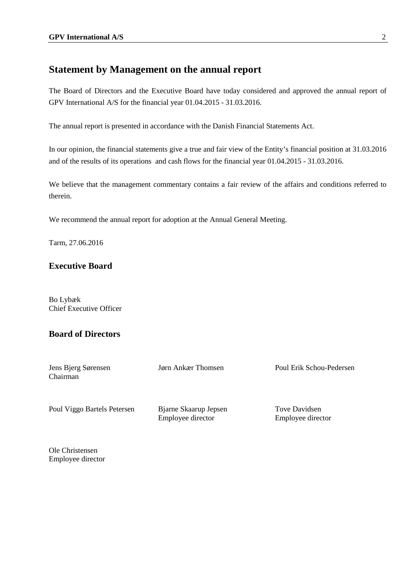# **Statement by Management on the annual report**

The Board of Directors and the Executive Board have today considered and approved the annual report of GPV International A/S for the financial year 01.04.2015 - 31.03.2016.

The annual report is presented in accordance with the Danish Financial Statements Act.

In our opinion, the financial statements give a true and fair view of the Entity's financial position at 31.03.2016 and of the results of its operations and cash flows for the financial year 01.04.2015 - 31.03.2016.

We believe that the management commentary contains a fair review of the affairs and conditions referred to therein.

We recommend the annual report for adoption at the Annual General Meeting.

Tarm, 27.06.2016

### **Executive Board**

Bo Lybæk Chief Executive Officer

## **Board of Directors**

| Jens Bjerg Sørensen<br>Chairman | Jørn Ankær Thomsen                         | Poul Erik Schou-Pedersen           |
|---------------------------------|--------------------------------------------|------------------------------------|
| Poul Viggo Bartels Petersen     | Bjarne Skaarup Jepsen<br>Employee director | Tove Davidsen<br>Employee director |
| $\sim$ $\sim$ $\sim$ $\sim$     |                                            |                                    |

Ole Christensen Employee director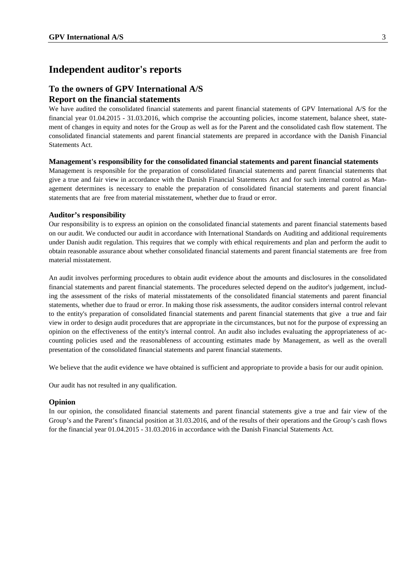### **Independent auditor's reports**

### **To the owners of GPV International A/S Report on the financial statements**

We have audited the consolidated financial statements and parent financial statements of GPV International A/S for the financial year 01.04.2015 - 31.03.2016, which comprise the accounting policies, income statement, balance sheet, statement of changes in equity and notes for the Group as well as for the Parent and the consolidated cash flow statement. The consolidated financial statements and parent financial statements are prepared in accordance with the Danish Financial Statements Act.

#### **Management's responsibility for the consolidated financial statements and parent financial statements**

Management is responsible for the preparation of consolidated financial statements and parent financial statements that give a true and fair view in accordance with the Danish Financial Statements Act and for such internal control as Management determines is necessary to enable the preparation of consolidated financial statements and parent financial statements that are free from material misstatement, whether due to fraud or error.

#### **Auditor's responsibility**

Our responsibility is to express an opinion on the consolidated financial statements and parent financial statements based on our audit. We conducted our audit in accordance with International Standards on Auditing and additional requirements under Danish audit regulation. This requires that we comply with ethical requirements and plan and perform the audit to obtain reasonable assurance about whether consolidated financial statements and parent financial statements are free from material misstatement.

An audit involves performing procedures to obtain audit evidence about the amounts and disclosures in the consolidated financial statements and parent financial statements. The procedures selected depend on the auditor's judgement, including the assessment of the risks of material misstatements of the consolidated financial statements and parent financial statements, whether due to fraud or error. In making those risk assessments, the auditor considers internal control relevant to the entity's preparation of consolidated financial statements and parent financial statements that give a true and fair view in order to design audit procedures that are appropriate in the circumstances, but not for the purpose of expressing an opinion on the effectiveness of the entity's internal control. An audit also includes evaluating the appropriateness of accounting policies used and the reasonableness of accounting estimates made by Management, as well as the overall presentation of the consolidated financial statements and parent financial statements.

We believe that the audit evidence we have obtained is sufficient and appropriate to provide a basis for our audit opinion.

Our audit has not resulted in any qualification.

#### **Opinion**

In our opinion, the consolidated financial statements and parent financial statements give a true and fair view of the Group's and the Parent's financial position at 31.03.2016, and of the results of their operations and the Group's cash flows for the financial year 01.04.2015 - 31.03.2016 in accordance with the Danish Financial Statements Act.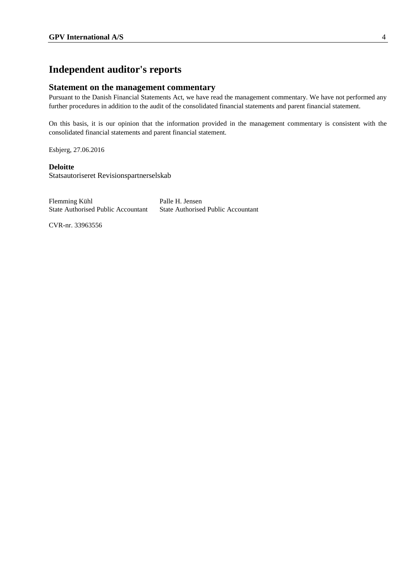# **Independent auditor's reports**

#### **Statement on the management commentary**

Pursuant to the Danish Financial Statements Act, we have read the management commentary. We have not performed any further procedures in addition to the audit of the consolidated financial statements and parent financial statement.

On this basis, it is our opinion that the information provided in the management commentary is consistent with the consolidated financial statements and parent financial statement.

Esbjerg, 27.06.2016

#### **Deloitte**

Statsautoriseret Revisionspartnerselskab

| Flemming Kühl                             | Palle H. Jensen                           |
|-------------------------------------------|-------------------------------------------|
| <b>State Authorised Public Accountant</b> | <b>State Authorised Public Accountant</b> |

CVR-nr. 33963556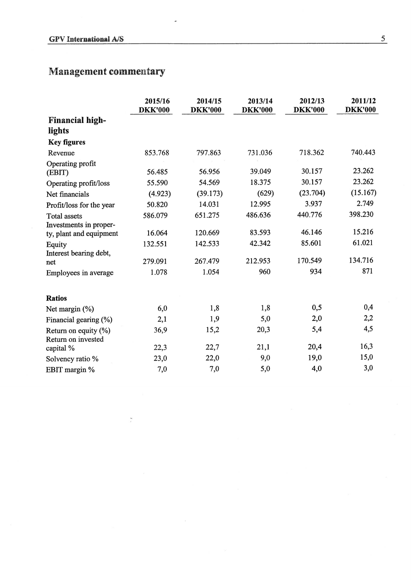$\frac{1}{2}$ 

|                                               | 2015/16<br><b>DKK'000</b> | 2014/15<br><b>DKK'000</b> | 2013/14<br><b>DKK'000</b> | 2012/13<br><b>DKK'000</b> | 2011/12<br><b>DKK'000</b> |
|-----------------------------------------------|---------------------------|---------------------------|---------------------------|---------------------------|---------------------------|
| <b>Financial high-</b>                        |                           |                           |                           |                           |                           |
| lights                                        |                           |                           |                           |                           |                           |
| <b>Key figures</b>                            |                           |                           |                           |                           |                           |
| Revenue                                       | 853.768                   | 797.863                   | 731.036                   | 718.362                   | 740.443                   |
| Operating profit<br>(EBIT)                    | 56.485                    | 56.956                    | 39.049                    | 30.157                    | 23.262                    |
| Operating profit/loss                         | 55.590                    | 54.569                    | 18.375                    | 30.157                    | 23.262                    |
| Net financials                                | (4.923)                   | (39.173)                  | (629)                     | (23.704)                  | (15.167)                  |
| Profit/loss for the year                      | 50.820                    | 14.031                    | 12.995                    | 3.937                     | 2.749                     |
| <b>Total assets</b><br>Investments in proper- | 586.079                   | 651.275                   | 486.636                   | 440.776                   | 398.230                   |
| ty, plant and equipment                       | 16.064                    | 120.669                   | 83.593                    | 46.146                    | 15.216                    |
| Equity<br>Interest bearing debt,              | 132.551                   | 142.533                   | 42.342                    | 85.601                    | 61.021                    |
| net                                           | 279.091                   | 267.479                   | 212.953                   | 170.549                   | 134.716                   |
| Employees in average                          | 1.078                     | 1.054                     | 960                       | 934                       | 871                       |
| <b>Ratios</b>                                 |                           |                           |                           |                           |                           |
| Net margin (%)                                | 6,0                       | 1,8                       | 1,8                       | 0,5                       | 0,4                       |
| Financial gearing (%)                         | 2,1                       | 1,9                       | 5,0                       | 2,0                       | 2,2                       |
| Return on equity $(\%)$<br>Return on invested | 36,9                      | 15,2                      | 20,3                      | 5,4                       | 4,5                       |
| capital %                                     | 22,3                      | 22,7                      | 21,1                      | 20,4                      | 16,3                      |
| Solvency ratio %                              | 23,0                      | 22,0                      | 9,0                       | 19,0                      | 15,0                      |
| EBIT margin %                                 | 7,0                       | 7,0                       | 5,0                       | 4,0                       | 3,0                       |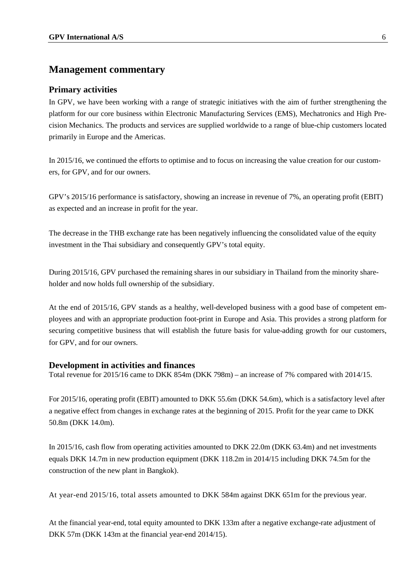#### **Primary activities**

In GPV, we have been working with a range of strategic initiatives with the aim of further strengthening the platform for our core business within Electronic Manufacturing Services (EMS), Mechatronics and High Precision Mechanics. The products and services are supplied worldwide to a range of blue-chip customers located primarily in Europe and the Americas.

In 2015/16, we continued the efforts to optimise and to focus on increasing the value creation for our customers, for GPV, and for our owners.

GPV's 2015/16 performance is satisfactory, showing an increase in revenue of 7%, an operating profit (EBIT) as expected and an increase in profit for the year.

The decrease in the THB exchange rate has been negatively influencing the consolidated value of the equity investment in the Thai subsidiary and consequently GPV's total equity.

During 2015/16, GPV purchased the remaining shares in our subsidiary in Thailand from the minority shareholder and now holds full ownership of the subsidiary.

At the end of 2015/16, GPV stands as a healthy, well-developed business with a good base of competent employees and with an appropriate production foot-print in Europe and Asia. This provides a strong platform for securing competitive business that will establish the future basis for value-adding growth for our customers, for GPV, and for our owners.

#### **Development in activities and finances**

Total revenue for 2015/16 came to DKK 854m (DKK 798m) – an increase of 7% compared with 2014/15.

For 2015/16, operating profit (EBIT) amounted to DKK 55.6m (DKK 54.6m), which is a satisfactory level after a negative effect from changes in exchange rates at the beginning of 2015. Profit for the year came to DKK 50.8m (DKK 14.0m).

In 2015/16, cash flow from operating activities amounted to DKK 22.0m (DKK 63.4m) and net investments equals DKK 14.7m in new production equipment (DKK 118.2m in 2014/15 including DKK 74.5m for the construction of the new plant in Bangkok).

At year-end 2015/16, total assets amounted to DKK 584m against DKK 651m for the previous year.

At the financial year-end, total equity amounted to DKK 133m after a negative exchange-rate adjustment of DKK 57m (DKK 143m at the financial year-end 2014/15).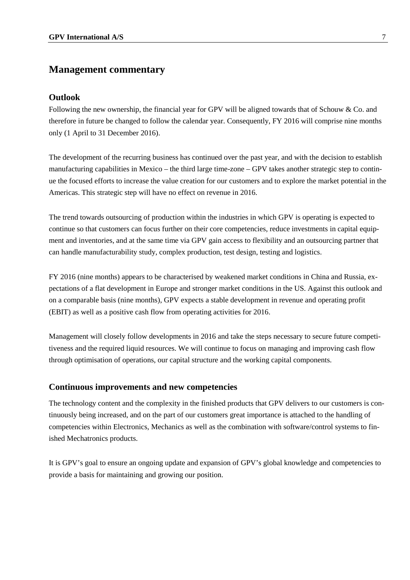#### **Outlook**

Following the new ownership, the financial year for GPV will be aligned towards that of Schouw & Co. and therefore in future be changed to follow the calendar year. Consequently, FY 2016 will comprise nine months only (1 April to 31 December 2016).

The development of the recurring business has continued over the past year, and with the decision to establish manufacturing capabilities in Mexico – the third large time-zone – GPV takes another strategic step to continue the focused efforts to increase the value creation for our customers and to explore the market potential in the Americas. This strategic step will have no effect on revenue in 2016.

The trend towards outsourcing of production within the industries in which GPV is operating is expected to continue so that customers can focus further on their core competencies, reduce investments in capital equipment and inventories, and at the same time via GPV gain access to flexibility and an outsourcing partner that can handle manufacturability study, complex production, test design, testing and logistics.

FY 2016 (nine months) appears to be characterised by weakened market conditions in China and Russia, expectations of a flat development in Europe and stronger market conditions in the US. Against this outlook and on a comparable basis (nine months), GPV expects a stable development in revenue and operating profit (EBIT) as well as a positive cash flow from operating activities for 2016.

Management will closely follow developments in 2016 and take the steps necessary to secure future competitiveness and the required liquid resources. We will continue to focus on managing and improving cash flow through optimisation of operations, our capital structure and the working capital components.

#### **Continuous improvements and new competencies**

The technology content and the complexity in the finished products that GPV delivers to our customers is continuously being increased, and on the part of our customers great importance is attached to the handling of competencies within Electronics, Mechanics as well as the combination with software/control systems to finished Mechatronics products.

It is GPV's goal to ensure an ongoing update and expansion of GPV's global knowledge and competencies to provide a basis for maintaining and growing our position.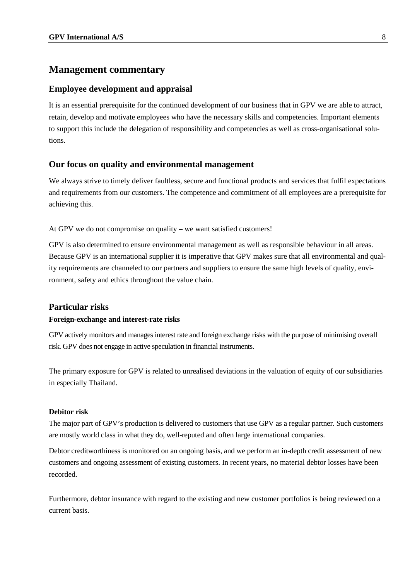#### **Employee development and appraisal**

It is an essential prerequisite for the continued development of our business that in GPV we are able to attract, retain, develop and motivate employees who have the necessary skills and competencies. Important elements to support this include the delegation of responsibility and competencies as well as cross-organisational solutions.

#### **Our focus on quality and environmental management**

We always strive to timely deliver faultless, secure and functional products and services that fulfil expectations and requirements from our customers. The competence and commitment of all employees are a prerequisite for achieving this.

At GPV we do not compromise on quality – we want satisfied customers!

GPV is also determined to ensure environmental management as well as responsible behaviour in all areas. Because GPV is an international supplier it is imperative that GPV makes sure that all environmental and quality requirements are channeled to our partners and suppliers to ensure the same high levels of quality, environment, safety and ethics throughout the value chain.

#### **Particular risks**

#### **Foreign-exchange and interest-rate risks**

GPV actively monitors and manages interest rate and foreign exchange risks with the purpose of minimising overall risk. GPV does not engage in active speculation in financial instruments.

The primary exposure for GPV is related to unrealised deviations in the valuation of equity of our subsidiaries in especially Thailand.

#### **Debitor risk**

The major part of GPV's production is delivered to customers that use GPV as a regular partner. Such customers are mostly world class in what they do, well-reputed and often large international companies.

Debtor creditworthiness is monitored on an ongoing basis, and we perform an in-depth credit assessment of new customers and ongoing assessment of existing customers. In recent years, no material debtor losses have been recorded.

Furthermore, debtor insurance with regard to the existing and new customer portfolios is being reviewed on a current basis.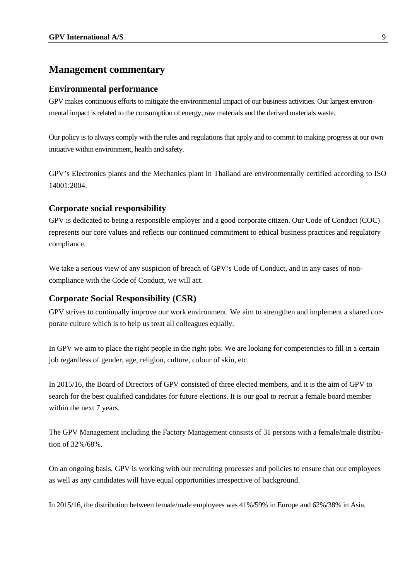#### **Environmental performance**

GPV makes continuous efforts to mitigate the environmental impact of our business activities. Our largest environmental impact is related to the consumption of energy, raw materials and the derived materials waste.

Our policy is to always comply with the rules and regulations that apply and to commit to making progress at our own initiative within environment, health and safety.

GPV's Electronics plants and the Mechanics plant in Thailand are environmentally certified according to ISO 14001:2004.

#### **Corporate social responsibility**

GPV is dedicated to being a responsible employer and a good corporate citizen. Our Code of Conduct (COC) represents our core values and reflects our continued commitment to ethical business practices and regulatory compliance.

We take a serious view of any suspicion of breach of GPV's Code of Conduct, and in any cases of noncompliance with the Code of Conduct, we will act.

### **Corporate Social Responsibility (CSR)**

GPV strives to continually improve our work environment. We aim to strengthen and implement a shared corporate culture which is to help us treat all colleagues equally.

In GPV we aim to place the right people in the right jobs. We are looking for competencies to fill in a certain job regardless of gender, age, religion, culture, colour of skin, etc.

In 2015/16, the Board of Directors of GPV consisted of three elected members, and it is the aim of GPV to search for the best qualified candidates for future elections. It is our goal to recruit a female board member within the next 7 years.

The GPV Management including the Factory Management consists of 31 persons with a female/male distribution of 32%/68%.

On an ongoing basis, GPV is working with our recruiting processes and policies to ensure that our employees as well as any candidates will have equal opportunities irrespective of background.

In 2015/16, the distribution between female/male employees was 41%/59% in Europe and 62%/38% in Asia.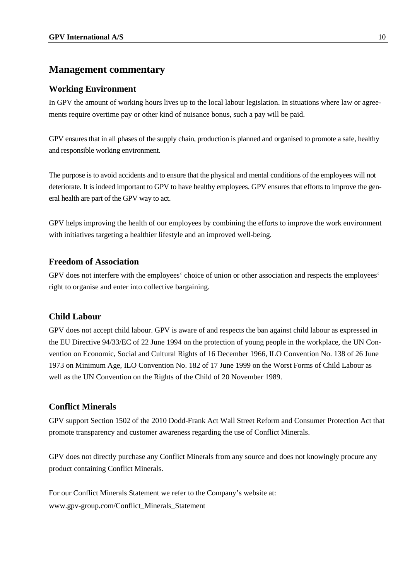### **Working Environment**

In GPV the amount of working hours lives up to the local labour legislation. In situations where law or agreements require overtime pay or other kind of nuisance bonus, such a pay will be paid.

GPV ensures that in all phases of the supply chain, production is planned and organised to promote a safe, healthy and responsible working environment.

The purpose is to avoid accidents and to ensure that the physical and mental conditions of the employees will not deteriorate. It is indeed important to GPV to have healthy employees. GPV ensures that efforts to improve the general health are part of the GPV way to act.

GPV helps improving the health of our employees by combining the efforts to improve the work environment with initiatives targeting a healthier lifestyle and an improved well-being.

### **Freedom of Association**

GPV does not interfere with the employees' choice of union or other association and respects the employees' right to organise and enter into collective bargaining.

#### **Child Labour**

GPV does not accept child labour. GPV is aware of and respects the ban against child labour as expressed in the EU Directive 94/33/EC of 22 June 1994 on the protection of young people in the workplace, the UN Convention on Economic, Social and Cultural Rights of 16 December 1966, ILO Convention No. 138 of 26 June 1973 on Minimum Age, ILO Convention No. 182 of 17 June 1999 on the Worst Forms of Child Labour as well as the UN Convention on the Rights of the Child of 20 November 1989.

### **Conflict Minerals**

GPV support Section 1502 of the 2010 Dodd-Frank Act Wall Street Reform and Consumer Protection Act that promote transparency and customer awareness regarding the use of Conflict Minerals.

GPV does not directly purchase any Conflict Minerals from any source and does not knowingly procure any product containing Conflict Minerals.

For our Conflict Minerals Statement we refer to the Company's website at: www.gpv-group.com/Conflict\_Minerals\_Statement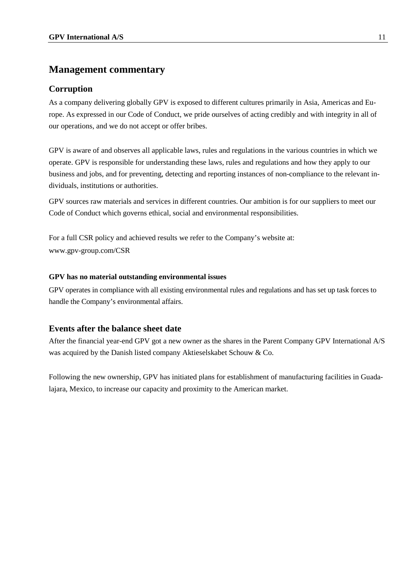### **Corruption**

As a company delivering globally GPV is exposed to different cultures primarily in Asia, Americas and Europe. As expressed in our Code of Conduct, we pride ourselves of acting credibly and with integrity in all of our operations, and we do not accept or offer bribes.

GPV is aware of and observes all applicable laws, rules and regulations in the various countries in which we operate. GPV is responsible for understanding these laws, rules and regulations and how they apply to our business and jobs, and for preventing, detecting and reporting instances of non-compliance to the relevant individuals, institutions or authorities.

GPV sources raw materials and services in different countries. Our ambition is for our suppliers to meet our Code of Conduct which governs ethical, social and environmental responsibilities.

For a full CSR policy and achieved results we refer to the Company's website at: www.gpv-group.com/CSR

#### **GPV has no material outstanding environmental issues**

GPV operates in compliance with all existing environmental rules and regulations and has set up task forces to handle the Company's environmental affairs.

### **Events after the balance sheet date**

After the financial year-end GPV got a new owner as the shares in the Parent Company GPV International A/S was acquired by the Danish listed company Aktieselskabet Schouw & Co.

Following the new ownership, GPV has initiated plans for establishment of manufacturing facilities in Guadalajara, Mexico, to increase our capacity and proximity to the American market.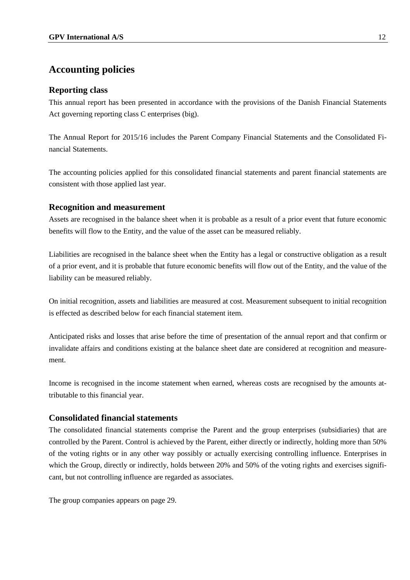### **Reporting class**

This annual report has been presented in accordance with the provisions of the Danish Financial Statements Act governing reporting class C enterprises (big).

The Annual Report for 2015/16 includes the Parent Company Financial Statements and the Consolidated Financial Statements.

The accounting policies applied for this consolidated financial statements and parent financial statements are consistent with those applied last year.

### **Recognition and measurement**

Assets are recognised in the balance sheet when it is probable as a result of a prior event that future economic benefits will flow to the Entity, and the value of the asset can be measured reliably.

Liabilities are recognised in the balance sheet when the Entity has a legal or constructive obligation as a result of a prior event, and it is probable that future economic benefits will flow out of the Entity, and the value of the liability can be measured reliably.

On initial recognition, assets and liabilities are measured at cost. Measurement subsequent to initial recognition is effected as described below for each financial statement item.

Anticipated risks and losses that arise before the time of presentation of the annual report and that confirm or invalidate affairs and conditions existing at the balance sheet date are considered at recognition and measurement.

Income is recognised in the income statement when earned, whereas costs are recognised by the amounts attributable to this financial year.

### **Consolidated financial statements**

The consolidated financial statements comprise the Parent and the group enterprises (subsidiaries) that are controlled by the Parent. Control is achieved by the Parent, either directly or indirectly, holding more than 50% of the voting rights or in any other way possibly or actually exercising controlling influence. Enterprises in which the Group, directly or indirectly, holds between 20% and 50% of the voting rights and exercises significant, but not controlling influence are regarded as associates.

The group companies appears on page 29.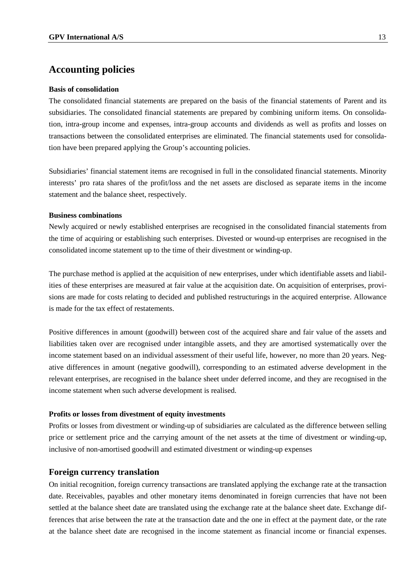#### **Basis of consolidation**

The consolidated financial statements are prepared on the basis of the financial statements of Parent and its subsidiaries. The consolidated financial statements are prepared by combining uniform items. On consolidation, intra-group income and expenses, intra-group accounts and dividends as well as profits and losses on transactions between the consolidated enterprises are eliminated. The financial statements used for consolidation have been prepared applying the Group's accounting policies.

Subsidiaries' financial statement items are recognised in full in the consolidated financial statements. Minority interests' pro rata shares of the profit/loss and the net assets are disclosed as separate items in the income statement and the balance sheet, respectively.

#### **Business combinations**

Newly acquired or newly established enterprises are recognised in the consolidated financial statements from the time of acquiring or establishing such enterprises. Divested or wound-up enterprises are recognised in the consolidated income statement up to the time of their divestment or winding-up.

The purchase method is applied at the acquisition of new enterprises, under which identifiable assets and liabilities of these enterprises are measured at fair value at the acquisition date. On acquisition of enterprises, provisions are made for costs relating to decided and published restructurings in the acquired enterprise. Allowance is made for the tax effect of restatements.

Positive differences in amount (goodwill) between cost of the acquired share and fair value of the assets and liabilities taken over are recognised under intangible assets, and they are amortised systematically over the income statement based on an individual assessment of their useful life, however, no more than 20 years. Negative differences in amount (negative goodwill), corresponding to an estimated adverse development in the relevant enterprises, are recognised in the balance sheet under deferred income, and they are recognised in the income statement when such adverse development is realised.

#### **Profits or losses from divestment of equity investments**

Profits or losses from divestment or winding-up of subsidiaries are calculated as the difference between selling price or settlement price and the carrying amount of the net assets at the time of divestment or winding-up, inclusive of non-amortised goodwill and estimated divestment or winding-up expenses

#### **Foreign currency translation**

On initial recognition, foreign currency transactions are translated applying the exchange rate at the transaction date. Receivables, payables and other monetary items denominated in foreign currencies that have not been settled at the balance sheet date are translated using the exchange rate at the balance sheet date. Exchange differences that arise between the rate at the transaction date and the one in effect at the payment date, or the rate at the balance sheet date are recognised in the income statement as financial income or financial expenses.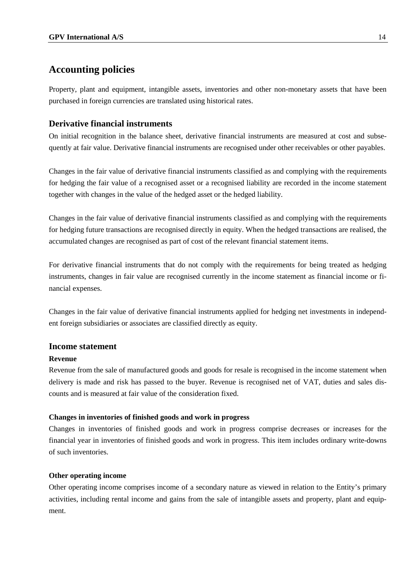Property, plant and equipment, intangible assets, inventories and other non-monetary assets that have been purchased in foreign currencies are translated using historical rates.

### **Derivative financial instruments**

On initial recognition in the balance sheet, derivative financial instruments are measured at cost and subsequently at fair value. Derivative financial instruments are recognised under other receivables or other payables.

Changes in the fair value of derivative financial instruments classified as and complying with the requirements for hedging the fair value of a recognised asset or a recognised liability are recorded in the income statement together with changes in the value of the hedged asset or the hedged liability.

Changes in the fair value of derivative financial instruments classified as and complying with the requirements for hedging future transactions are recognised directly in equity. When the hedged transactions are realised, the accumulated changes are recognised as part of cost of the relevant financial statement items.

For derivative financial instruments that do not comply with the requirements for being treated as hedging instruments, changes in fair value are recognised currently in the income statement as financial income or financial expenses.

Changes in the fair value of derivative financial instruments applied for hedging net investments in independent foreign subsidiaries or associates are classified directly as equity.

### **Income statement**

#### **Revenue**

Revenue from the sale of manufactured goods and goods for resale is recognised in the income statement when delivery is made and risk has passed to the buyer. Revenue is recognised net of VAT, duties and sales discounts and is measured at fair value of the consideration fixed.

#### **Changes in inventories of finished goods and work in progress**

Changes in inventories of finished goods and work in progress comprise decreases or increases for the financial year in inventories of finished goods and work in progress. This item includes ordinary write-downs of such inventories.

#### **Other operating income**

Other operating income comprises income of a secondary nature as viewed in relation to the Entity's primary activities, including rental income and gains from the sale of intangible assets and property, plant and equipment.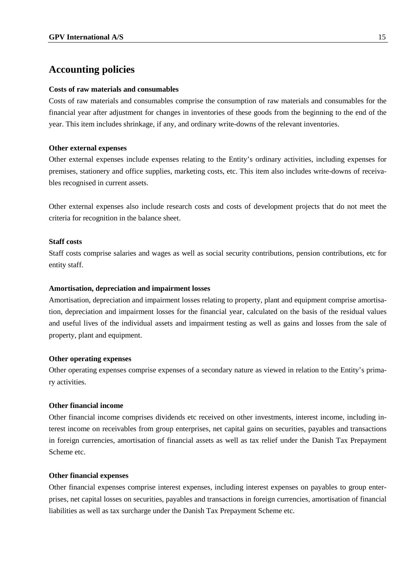#### **Costs of raw materials and consumables**

Costs of raw materials and consumables comprise the consumption of raw materials and consumables for the financial year after adjustment for changes in inventories of these goods from the beginning to the end of the year. This item includes shrinkage, if any, and ordinary write-downs of the relevant inventories.

#### **Other external expenses**

Other external expenses include expenses relating to the Entity's ordinary activities, including expenses for premises, stationery and office supplies, marketing costs, etc. This item also includes write-downs of receivables recognised in current assets.

Other external expenses also include research costs and costs of development projects that do not meet the criteria for recognition in the balance sheet.

#### **Staff costs**

Staff costs comprise salaries and wages as well as social security contributions, pension contributions, etc for entity staff.

#### **Amortisation, depreciation and impairment losses**

Amortisation, depreciation and impairment losses relating to property, plant and equipment comprise amortisation, depreciation and impairment losses for the financial year, calculated on the basis of the residual values and useful lives of the individual assets and impairment testing as well as gains and losses from the sale of property, plant and equipment.

#### **Other operating expenses**

Other operating expenses comprise expenses of a secondary nature as viewed in relation to the Entity's primary activities.

#### **Other financial income**

Other financial income comprises dividends etc received on other investments, interest income, including interest income on receivables from group enterprises, net capital gains on securities, payables and transactions in foreign currencies, amortisation of financial assets as well as tax relief under the Danish Tax Prepayment Scheme etc.

#### **Other financial expenses**

Other financial expenses comprise interest expenses, including interest expenses on payables to group enterprises, net capital losses on securities, payables and transactions in foreign currencies, amortisation of financial liabilities as well as tax surcharge under the Danish Tax Prepayment Scheme etc.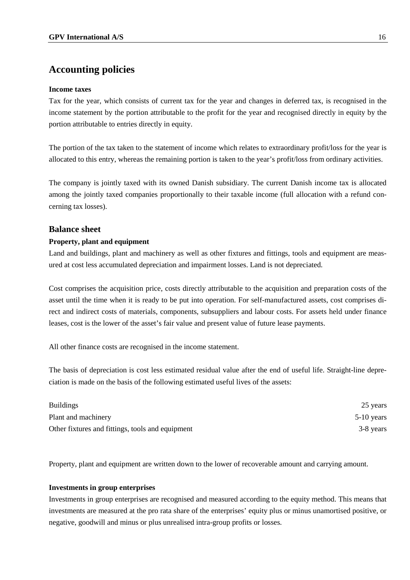#### **Income taxes**

Tax for the year, which consists of current tax for the year and changes in deferred tax, is recognised in the income statement by the portion attributable to the profit for the year and recognised directly in equity by the portion attributable to entries directly in equity.

The portion of the tax taken to the statement of income which relates to extraordinary profit/loss for the year is allocated to this entry, whereas the remaining portion is taken to the year's profit/loss from ordinary activities.

The company is jointly taxed with its owned Danish subsidiary. The current Danish income tax is allocated among the jointly taxed companies proportionally to their taxable income (full allocation with a refund concerning tax losses).

#### **Balance sheet**

#### **Property, plant and equipment**

Land and buildings, plant and machinery as well as other fixtures and fittings, tools and equipment are measured at cost less accumulated depreciation and impairment losses. Land is not depreciated.

Cost comprises the acquisition price, costs directly attributable to the acquisition and preparation costs of the asset until the time when it is ready to be put into operation. For self-manufactured assets, cost comprises direct and indirect costs of materials, components, subsuppliers and labour costs. For assets held under finance leases, cost is the lower of the asset's fair value and present value of future lease payments.

All other finance costs are recognised in the income statement.

The basis of depreciation is cost less estimated residual value after the end of useful life. Straight-line depreciation is made on the basis of the following estimated useful lives of the assets:

| <b>Buildings</b>                                 | 25 years     |
|--------------------------------------------------|--------------|
| Plant and machinery                              | $5-10$ years |
| Other fixtures and fittings, tools and equipment | 3-8 years    |

Property, plant and equipment are written down to the lower of recoverable amount and carrying amount.

#### **Investments in group enterprises**

Investments in group enterprises are recognised and measured according to the equity method. This means that investments are measured at the pro rata share of the enterprises' equity plus or minus unamortised positive, or negative, goodwill and minus or plus unrealised intra-group profits or losses.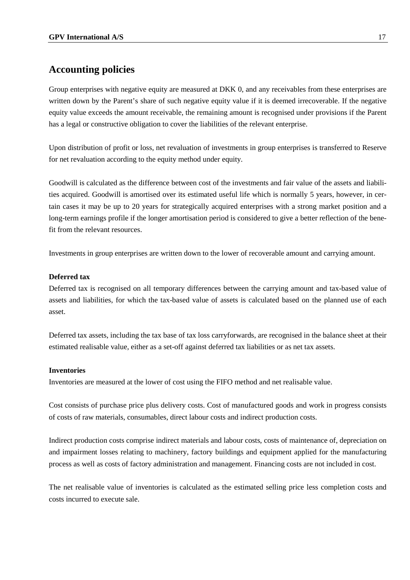Group enterprises with negative equity are measured at DKK 0, and any receivables from these enterprises are written down by the Parent's share of such negative equity value if it is deemed irrecoverable. If the negative equity value exceeds the amount receivable, the remaining amount is recognised under provisions if the Parent has a legal or constructive obligation to cover the liabilities of the relevant enterprise.

Upon distribution of profit or loss, net revaluation of investments in group enterprises is transferred to Reserve for net revaluation according to the equity method under equity.

Goodwill is calculated as the difference between cost of the investments and fair value of the assets and liabilities acquired. Goodwill is amortised over its estimated useful life which is normally 5 years, however, in certain cases it may be up to 20 years for strategically acquired enterprises with a strong market position and a long-term earnings profile if the longer amortisation period is considered to give a better reflection of the benefit from the relevant resources.

Investments in group enterprises are written down to the lower of recoverable amount and carrying amount.

#### **Deferred tax**

Deferred tax is recognised on all temporary differences between the carrying amount and tax-based value of assets and liabilities, for which the tax-based value of assets is calculated based on the planned use of each asset.

Deferred tax assets, including the tax base of tax loss carryforwards, are recognised in the balance sheet at their estimated realisable value, either as a set-off against deferred tax liabilities or as net tax assets.

#### **Inventories**

Inventories are measured at the lower of cost using the FIFO method and net realisable value.

Cost consists of purchase price plus delivery costs. Cost of manufactured goods and work in progress consists of costs of raw materials, consumables, direct labour costs and indirect production costs.

Indirect production costs comprise indirect materials and labour costs, costs of maintenance of, depreciation on and impairment losses relating to machinery, factory buildings and equipment applied for the manufacturing process as well as costs of factory administration and management. Financing costs are not included in cost.

The net realisable value of inventories is calculated as the estimated selling price less completion costs and costs incurred to execute sale.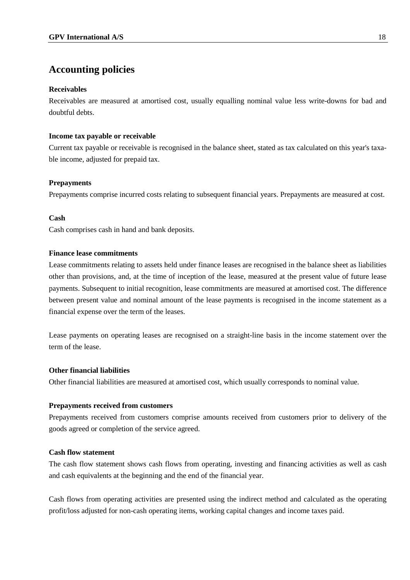#### **Receivables**

Receivables are measured at amortised cost, usually equalling nominal value less write-downs for bad and doubtful debts.

#### **Income tax payable or receivable**

Current tax payable or receivable is recognised in the balance sheet, stated as tax calculated on this year's taxable income, adjusted for prepaid tax.

#### **Prepayments**

Prepayments comprise incurred costs relating to subsequent financial years. Prepayments are measured at cost.

#### **Cash**

Cash comprises cash in hand and bank deposits.

#### **Finance lease commitments**

Lease commitments relating to assets held under finance leases are recognised in the balance sheet as liabilities other than provisions, and, at the time of inception of the lease, measured at the present value of future lease payments. Subsequent to initial recognition, lease commitments are measured at amortised cost. The difference between present value and nominal amount of the lease payments is recognised in the income statement as a financial expense over the term of the leases.

Lease payments on operating leases are recognised on a straight-line basis in the income statement over the term of the lease.

#### **Other financial liabilities**

Other financial liabilities are measured at amortised cost, which usually corresponds to nominal value.

#### **Prepayments received from customers**

Prepayments received from customers comprise amounts received from customers prior to delivery of the goods agreed or completion of the service agreed.

#### **Cash flow statement**

The cash flow statement shows cash flows from operating, investing and financing activities as well as cash and cash equivalents at the beginning and the end of the financial year.

Cash flows from operating activities are presented using the indirect method and calculated as the operating profit/loss adjusted for non-cash operating items, working capital changes and income taxes paid.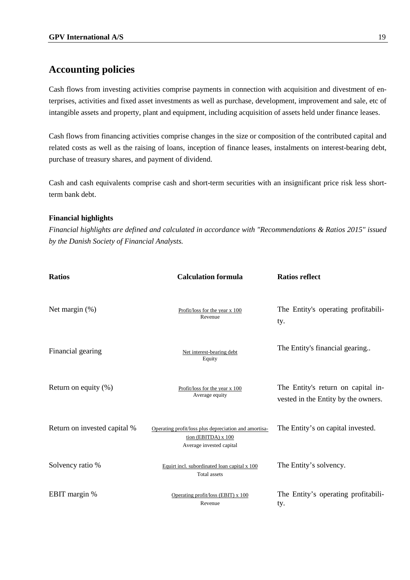Cash flows from investing activities comprise payments in connection with acquisition and divestment of enterprises, activities and fixed asset investments as well as purchase, development, improvement and sale, etc of intangible assets and property, plant and equipment, including acquisition of assets held under finance leases.

Cash flows from financing activities comprise changes in the size or composition of the contributed capital and related costs as well as the raising of loans, inception of finance leases, instalments on interest-bearing debt, purchase of treasury shares, and payment of dividend.

Cash and cash equivalents comprise cash and short-term securities with an insignificant price risk less shortterm bank debt.

#### **Financial highlights**

*Financial highlights are defined and calculated in accordance with "Recommendations & Ratios 2015" issued by the Danish Society of Financial Analysts.*

| <b>Ratios</b>                | <b>Calculation formula</b>                                                                               | <b>Ratios reflect</b>                                                     |
|------------------------------|----------------------------------------------------------------------------------------------------------|---------------------------------------------------------------------------|
| Net margin $(\%)$            | Profit/loss for the year x 100<br>Revenue                                                                | The Entity's operating profitabili-<br>ty.                                |
| Financial gearing            | Net interest-bearing debt<br>Equity                                                                      | The Entity's financial gearing                                            |
| Return on equity $(\%)$      | Profit/loss for the year x 100<br>Average equity                                                         | The Entity's return on capital in-<br>vested in the Entity by the owners. |
| Return on invested capital % | Operating profit/loss plus depreciation and amortisa-<br>tion (EBITDA) x 100<br>Average invested capital | The Entity's on capital invested.                                         |
| Solvency ratio %             | Equirt incl. subordinated loan capital x 100<br><b>Total</b> assets                                      | The Entity's solvency.                                                    |
| EBIT margin %                | Operating profit/loss (EBIT) x 100<br>Revenue                                                            | The Entity's operating profitabili-<br>ty.                                |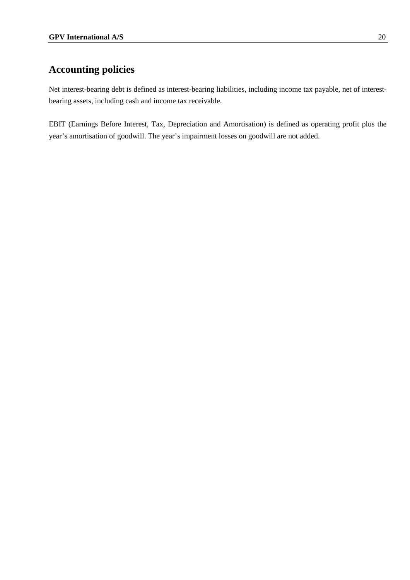Net interest-bearing debt is defined as interest-bearing liabilities, including income tax payable, net of interestbearing assets, including cash and income tax receivable.

EBIT (Earnings Before Interest, Tax, Depreciation and Amortisation) is defined as operating profit plus the year's amortisation of goodwill. The year's impairment losses on goodwill are not added.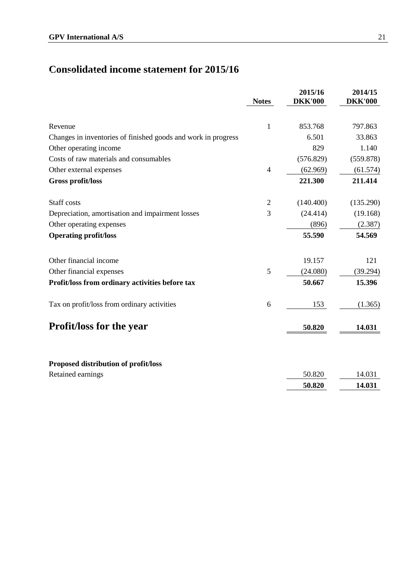# **Consolidated income statement for 2015/16 Consolidated income statement for 2015/16**

|                                                               | <b>Notes</b>   | 2015/16<br><b>DKK'000</b> | 2014/15<br><b>DKK'000</b> |
|---------------------------------------------------------------|----------------|---------------------------|---------------------------|
| Revenue                                                       | 1              | 853.768                   | 797.863                   |
| Changes in inventories of finished goods and work in progress |                | 6.501                     | 33.863                    |
| Other operating income                                        |                | 829                       | 1.140                     |
| Costs of raw materials and consumables                        |                | (576.829)                 | (559.878)                 |
| Other external expenses                                       | $\overline{4}$ | (62.969)                  | (61.574)                  |
| Gross profit/loss                                             |                | 221.300                   | 211.414                   |
| Staff costs                                                   | $\overline{2}$ | (140.400)                 | (135.290)                 |
| Depreciation, amortisation and impairment losses              | 3              | (24.414)                  | (19.168)                  |
| Other operating expenses                                      |                | (896)                     | (2.387)                   |
| <b>Operating profit/loss</b>                                  |                | 55.590                    | 54.569                    |
| Other financial income                                        |                | 19.157                    | 121                       |
| Other financial expenses                                      | 5              | (24.080)                  | (39.294)                  |
| Profit/loss from ordinary activities before tax               |                | 50.667                    | 15.396                    |
| Tax on profit/loss from ordinary activities                   | 6              | 153                       | (1.365)                   |
| <b>Profit/loss for the year</b>                               |                | 50.820                    | 14.031                    |
|                                                               |                |                           |                           |
| Proposed distribution of profit/loss                          |                |                           |                           |
| Retained earnings                                             |                | 50.820                    | 14.031                    |
|                                                               |                | 50.820                    | 14.031                    |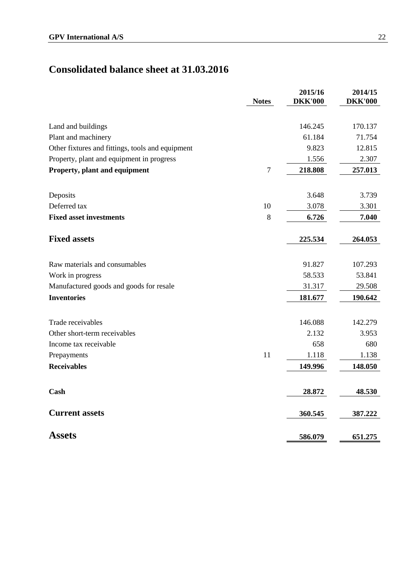# **Consolidated balance sheet at 31.03.2016**

|                                                  | <b>Notes</b> | 2015/16<br><b>DKK'000</b> | 2014/15<br><b>DKK'000</b> |
|--------------------------------------------------|--------------|---------------------------|---------------------------|
|                                                  |              |                           |                           |
| Land and buildings                               |              | 146.245                   | 170.137                   |
| Plant and machinery                              |              | 61.184                    | 71.754                    |
| Other fixtures and fittings, tools and equipment |              | 9.823                     | 12.815                    |
| Property, plant and equipment in progress        |              | 1.556                     | 2.307                     |
| Property, plant and equipment                    | $\tau$       | 218.808                   | 257.013                   |
| Deposits                                         |              | 3.648                     | 3.739                     |
| Deferred tax                                     | 10           | 3.078                     | 3.301                     |
| <b>Fixed asset investments</b>                   | 8            | 6.726                     | 7.040                     |
| <b>Fixed assets</b>                              |              | 225.534                   | 264.053                   |
| Raw materials and consumables                    |              | 91.827                    | 107.293                   |
| Work in progress                                 |              | 58.533                    | 53.841                    |
| Manufactured goods and goods for resale          |              | 31.317                    | 29.508                    |
| <b>Inventories</b>                               |              | 181.677                   | 190.642                   |
| Trade receivables                                |              | 146.088                   | 142.279                   |
| Other short-term receivables                     |              | 2.132                     | 3.953                     |
| Income tax receivable                            |              | 658                       | 680                       |
| Prepayments                                      | 11           | 1.118                     | 1.138                     |
| <b>Receivables</b>                               |              | 149.996                   | 148.050                   |
| Cash                                             |              | 28.872                    | 48.530                    |
| <b>Current assets</b>                            |              | 360.545                   | 387.222                   |
| <b>Assets</b>                                    |              | 586.079                   | 651.275                   |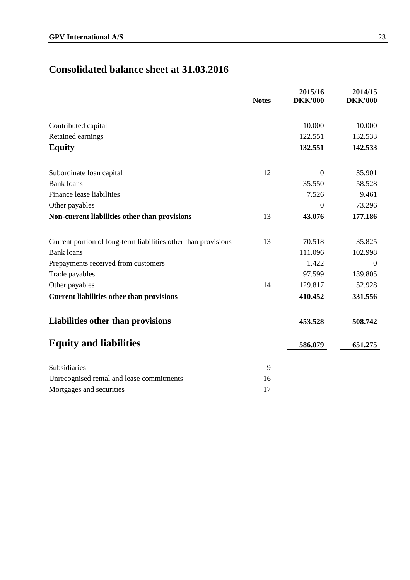# **Consolidated balance sheet at 31.03.2016**

|                                                                | <b>Notes</b> | 2015/16<br><b>DKK'000</b> | 2014/15<br><b>DKK'000</b> |
|----------------------------------------------------------------|--------------|---------------------------|---------------------------|
|                                                                |              | 10.000                    | 10.000                    |
| Contributed capital                                            |              | 122.551                   | 132.533                   |
| Retained earnings                                              |              |                           |                           |
| <b>Equity</b>                                                  |              | 132.551                   | 142.533                   |
| Subordinate loan capital                                       | 12           | $\overline{0}$            | 35.901                    |
| <b>Bank loans</b>                                              |              | 35.550                    | 58.528                    |
| Finance lease liabilities                                      |              | 7.526                     | 9.461                     |
| Other payables                                                 |              | $\boldsymbol{0}$          | 73.296                    |
| Non-current liabilities other than provisions                  | 13           | 43.076                    | 177.186                   |
|                                                                |              |                           |                           |
| Current portion of long-term liabilities other than provisions | 13           | 70.518                    | 35.825                    |
| <b>Bank loans</b>                                              |              | 111.096                   | 102.998                   |
| Prepayments received from customers                            |              | 1.422                     | $\theta$                  |
| Trade payables                                                 |              | 97.599                    | 139.805                   |
| Other payables                                                 | 14           | 129.817                   | 52.928                    |
| <b>Current liabilities other than provisions</b>               |              | 410.452                   | 331.556                   |
| Liabilities other than provisions                              |              | 453.528                   | 508.742                   |
| <b>Equity and liabilities</b>                                  |              | 586.079                   | 651.275                   |
| Subsidiaries                                                   | 9            |                           |                           |
| Unrecognised rental and lease commitments                      | 16           |                           |                           |
| Mortgages and securities                                       | 17           |                           |                           |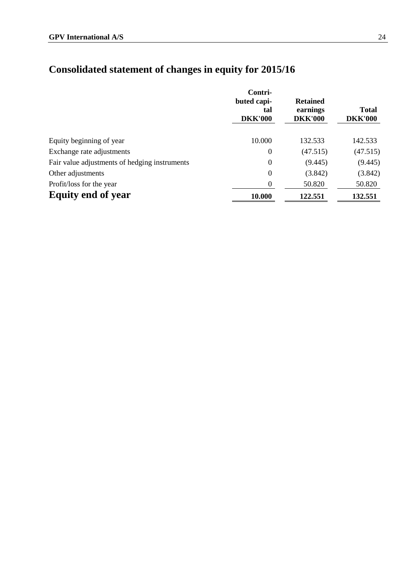# **Consolidated statement of changes in equity for 2015/16**

|                                               | Contri-<br>buted capi-<br>tal<br><b>DKK'000</b> | <b>Retained</b><br>earnings<br><b>DKK'000</b> | <b>Total</b><br><b>DKK'000</b> |
|-----------------------------------------------|-------------------------------------------------|-----------------------------------------------|--------------------------------|
| Equity beginning of year                      | 10.000                                          | 132.533                                       | 142.533                        |
| Exchange rate adjustments                     | $\boldsymbol{0}$                                | (47.515)                                      | (47.515)                       |
| Fair value adjustments of hedging instruments | $\boldsymbol{0}$                                | (9.445)                                       | (9.445)                        |
| Other adjustments                             | $\boldsymbol{0}$                                | (3.842)                                       | (3.842)                        |
| Profit/loss for the year                      | 0                                               | 50.820                                        | 50.820                         |
| <b>Equity end of year</b>                     | 10.000                                          | 122.551                                       | 132.551                        |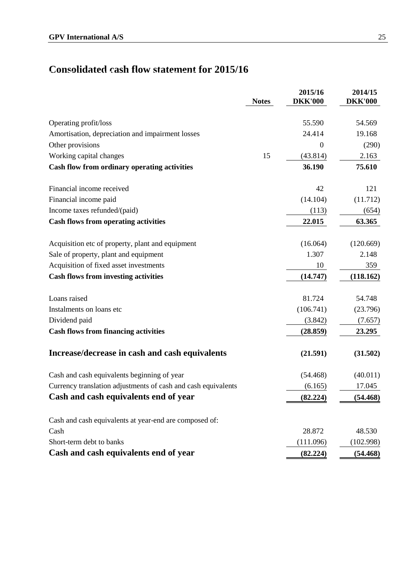# **Consolidated cash flow statement for 2015/16 Consolidated cash flow statement for 2015/16**

|                                                               | <b>Notes</b> | 2015/16<br><b>DKK'000</b> | 2014/15<br><b>DKK'000</b> |
|---------------------------------------------------------------|--------------|---------------------------|---------------------------|
|                                                               |              |                           |                           |
| Operating profit/loss                                         |              | 55.590                    | 54.569                    |
| Amortisation, depreciation and impairment losses              |              | 24.414                    | 19.168                    |
| Other provisions                                              |              | $\theta$                  | (290)                     |
| Working capital changes                                       | 15           | (43.814)                  | 2.163                     |
| Cash flow from ordinary operating activities                  |              | 36.190                    | 75.610                    |
| Financial income received                                     |              | 42                        | 121                       |
| Financial income paid                                         |              | (14.104)                  | (11.712)                  |
| Income taxes refunded/(paid)                                  |              | (113)                     | (654)                     |
| <b>Cash flows from operating activities</b>                   |              | 22.015                    | 63.365                    |
| Acquisition etc of property, plant and equipment              |              | (16.064)                  | (120.669)                 |
| Sale of property, plant and equipment                         |              | 1.307                     | 2.148                     |
| Acquisition of fixed asset investments                        |              | 10                        | 359                       |
| <b>Cash flows from investing activities</b>                   |              | (14.747)                  | (118.162)                 |
| Loans raised                                                  |              | 81.724                    | 54.748                    |
| Instalments on loans etc                                      |              | (106.741)                 | (23.796)                  |
| Dividend paid                                                 |              | (3.842)                   | (7.657)                   |
| <b>Cash flows from financing activities</b>                   |              | (28.859)                  | 23.295                    |
| Increase/decrease in cash and cash equivalents                |              | (21.591)                  | (31.502)                  |
| Cash and cash equivalents beginning of year                   |              | (54.468)                  | (40.011)                  |
| Currency translation adjustments of cash and cash equivalents |              | (6.165)                   | 17.045                    |
| Cash and cash equivalents end of year                         |              | (82.224)                  | (54.468)                  |
| Cash and cash equivalents at year-end are composed of:        |              |                           |                           |
| Cash                                                          |              | 28.872                    | 48.530                    |
| Short-term debt to banks                                      |              | (111.096)                 | (102.998)                 |
| Cash and cash equivalents end of year                         |              | (82.224)                  | (54.468)                  |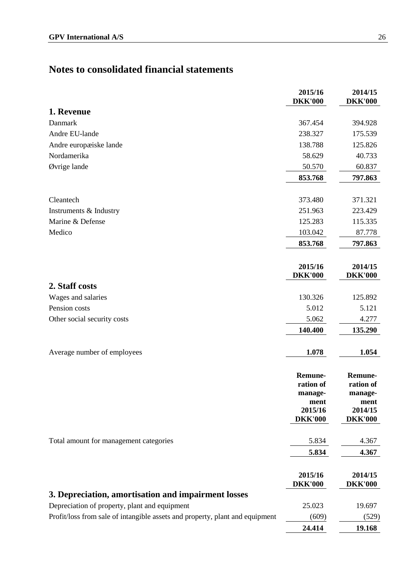|                                                                              | 2015/16<br><b>DKK'000</b>                                                   | 2014/15<br><b>DKK'000</b>                                            |
|------------------------------------------------------------------------------|-----------------------------------------------------------------------------|----------------------------------------------------------------------|
| 1. Revenue                                                                   |                                                                             |                                                                      |
| Danmark                                                                      | 367.454                                                                     | 394.928                                                              |
| Andre EU-lande                                                               | 238.327                                                                     | 175.539                                                              |
| Andre europæiske lande                                                       | 138.788                                                                     | 125.826                                                              |
| Nordamerika                                                                  | 58.629                                                                      | 40.733                                                               |
| Øvrige lande                                                                 | 50.570                                                                      | 60.837                                                               |
|                                                                              | 853.768                                                                     | 797.863                                                              |
| Cleantech                                                                    | 373.480                                                                     | 371.321                                                              |
| Instruments & Industry                                                       | 251.963                                                                     | 223.429                                                              |
| Marine & Defense                                                             | 125.283                                                                     | 115.335                                                              |
| Medico                                                                       | 103.042                                                                     | 87.778                                                               |
|                                                                              | 853.768                                                                     | 797.863                                                              |
|                                                                              | 2015/16<br><b>DKK'000</b>                                                   | 2014/15<br><b>DKK'000</b>                                            |
| 2. Staff costs                                                               |                                                                             |                                                                      |
| Wages and salaries                                                           | 130.326                                                                     | 125.892                                                              |
| Pension costs                                                                | 5.012                                                                       | 5.121                                                                |
| Other social security costs                                                  | 5.062                                                                       | 4.277                                                                |
|                                                                              | 140.400                                                                     | 135.290                                                              |
| Average number of employees                                                  | 1.078                                                                       | 1.054                                                                |
|                                                                              | <b>Remune-</b><br>ration of<br>manage-<br>ment<br>2015/16<br><b>DKK'000</b> | Remune-<br>ration of<br>manage-<br>ment<br>2014/15<br><b>DKK'000</b> |
| Total amount for management categories                                       | 5.834                                                                       | 4.367                                                                |
|                                                                              | 5.834                                                                       | 4.367                                                                |
|                                                                              | 2015/16<br><b>DKK'000</b>                                                   | 2014/15<br><b>DKK'000</b>                                            |
| 3. Depreciation, amortisation and impairment losses                          |                                                                             |                                                                      |
| Depreciation of property, plant and equipment                                | 25.023                                                                      | 19.697                                                               |
| Profit/loss from sale of intangible assets and property, plant and equipment | (609)                                                                       | (529)                                                                |
|                                                                              | 24.414                                                                      | 19.168                                                               |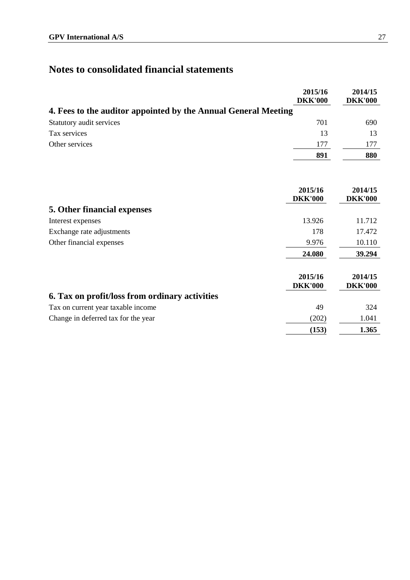|                                                                | 2015/16<br><b>DKK'000</b> | 2014/15<br><b>DKK'000</b> |
|----------------------------------------------------------------|---------------------------|---------------------------|
| 4. Fees to the auditor appointed by the Annual General Meeting |                           |                           |
| Statutory audit services                                       | 701                       | 690                       |
| Tax services                                                   | 13                        | 13                        |
| Other services                                                 | 177                       | 177                       |
|                                                                | 891                       | 880                       |

|                                                | 2015/16<br><b>DKK'000</b> | 2014/15<br><b>DKK'000</b> |
|------------------------------------------------|---------------------------|---------------------------|
| 5. Other financial expenses                    |                           |                           |
| Interest expenses                              | 13.926                    | 11.712                    |
| Exchange rate adjustments                      | 178                       | 17.472                    |
| Other financial expenses                       | 9.976                     | 10.110                    |
|                                                | 24.080                    | 39.294                    |
|                                                | 2015/16<br><b>DKK'000</b> | 2014/15<br><b>DKK'000</b> |
| 6. Tax on profit/loss from ordinary activities |                           |                           |
| Tax on current year taxable income             | 49                        | 324                       |
| Change in deferred tax for the year            | (202)                     | 1.041                     |
|                                                | (153)                     | 1.365                     |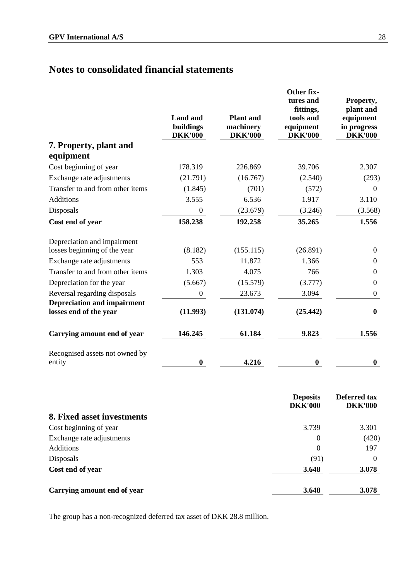| <b>Land and</b><br>buildings<br><b>DKK'000</b> | <b>Plant</b> and<br>machinery<br><b>DKK'000</b> | Other fix-<br>tures and<br>fittings,<br>tools and<br>equipment<br><b>DKK'000</b> | Property,<br>plant and<br>equipment<br>in progress<br><b>DKK'000</b> |
|------------------------------------------------|-------------------------------------------------|----------------------------------------------------------------------------------|----------------------------------------------------------------------|
|                                                |                                                 |                                                                                  |                                                                      |
|                                                |                                                 |                                                                                  |                                                                      |
| 178.319                                        | 226.869                                         | 39.706                                                                           | 2.307                                                                |
| (21.791)                                       | (16.767)                                        | (2.540)                                                                          | (293)                                                                |
| (1.845)                                        | (701)                                           | (572)                                                                            | $\overline{0}$                                                       |
| 3.555                                          | 6.536                                           | 1.917                                                                            | 3.110                                                                |
| $\boldsymbol{0}$                               | (23.679)                                        | (3.246)                                                                          | (3.568)                                                              |
| 158.238                                        | 192.258                                         | 35.265                                                                           | 1.556                                                                |
|                                                |                                                 |                                                                                  |                                                                      |
| (8.182)                                        | (155.115)                                       | (26.891)                                                                         | $\Omega$                                                             |
| 553                                            | 11.872                                          | 1.366                                                                            | $\Omega$                                                             |
| 1.303                                          | 4.075                                           | 766                                                                              | $\Omega$                                                             |
| (5.667)                                        | (15.579)                                        | (3.777)                                                                          | $\boldsymbol{0}$                                                     |
| $\boldsymbol{0}$                               | 23.673                                          | 3.094                                                                            | $\boldsymbol{0}$                                                     |
| (11.993)                                       | (131.074)                                       | (25.442)                                                                         | $\bf{0}$                                                             |
| 146.245                                        | 61.184                                          | 9.823                                                                            | 1.556                                                                |
| $\bf{0}$                                       | 4.216                                           | $\bf{0}$                                                                         | $\bf{0}$                                                             |
|                                                |                                                 |                                                                                  |                                                                      |

|                             | <b>Deposits</b><br><b>DKK'000</b> | Deferred tax<br><b>DKK'000</b> |
|-----------------------------|-----------------------------------|--------------------------------|
| 8. Fixed asset investments  |                                   |                                |
| Cost beginning of year      | 3.739                             | 3.301                          |
| Exchange rate adjustments   | $\theta$                          | (420)                          |
| <b>Additions</b>            | $\theta$                          | 197                            |
| Disposals                   | (91)                              | $\theta$                       |
| Cost end of year            | 3.648                             | 3.078                          |
| Carrying amount end of year | 3.648                             | 3.078                          |

The group has a non-recognized deferred tax asset of DKK 28.8 million.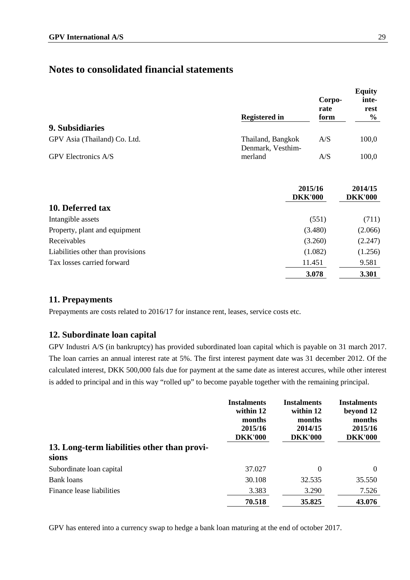|                              | <b>Registered in</b>                   | Corpo-<br>rate<br>form | <b>Equity</b><br>inte-<br>rest<br>$\frac{6}{9}$ |
|------------------------------|----------------------------------------|------------------------|-------------------------------------------------|
| 9. Subsidiaries              |                                        |                        |                                                 |
| GPV Asia (Thailand) Co. Ltd. | Thailand, Bangkok<br>Denmark, Vesthim- | A/S                    | 100,0                                           |
| <b>GPV</b> Electronics A/S   | merland                                | A/S                    | 100,0                                           |

|                                   | 2015/16<br><b>DKK'000</b> | 2014/15<br><b>DKK'000</b> |
|-----------------------------------|---------------------------|---------------------------|
| 10. Deferred tax                  |                           |                           |
| Intangible assets                 | (551)                     | (711)                     |
| Property, plant and equipment     | (3.480)                   | (2.066)                   |
| Receivables                       | (3.260)                   | (2.247)                   |
| Liabilities other than provisions | (1.082)                   | (1.256)                   |
| Tax losses carried forward        | 11.451                    | 9.581                     |
|                                   | 3.078                     | 3.301                     |

### **11. Prepayments**

Prepayments are costs related to 2016/17 for instance rent, leases, service costs etc.

## **12. Subordinate loan capital**

GPV Industri A/S (in bankruptcy) has provided subordinated loan capital which is payable on 31 march 2017. The loan carries an annual interest rate at 5%. The first interest payment date was 31 december 2012. Of the calculated interest, DKK 500,000 fals due for payment at the same date as interest accures, while other interest is added to principal and in this way "rolled up" to become payable together with the remaining principal.

|                                             | <b>Instalments</b><br>within 12<br>months<br>2015/16<br><b>DKK'000</b> | <b>Instalments</b><br>within 12<br>months<br>2014/15<br><b>DKK'000</b> | <b>Instalments</b><br>beyond 12<br>months<br>2015/16<br><b>DKK'000</b> |
|---------------------------------------------|------------------------------------------------------------------------|------------------------------------------------------------------------|------------------------------------------------------------------------|
| 13. Long-term liabilities other than provi- |                                                                        |                                                                        |                                                                        |
| sions                                       |                                                                        |                                                                        |                                                                        |
| Subordinate loan capital                    | 37.027                                                                 | $\theta$                                                               | $\overline{0}$                                                         |
| <b>Bank</b> loans                           | 30.108                                                                 | 32.535                                                                 | 35.550                                                                 |
| Finance lease liabilities                   | 3.383                                                                  | 3.290                                                                  | 7.526                                                                  |
|                                             | 70.518                                                                 | 35.825                                                                 | 43.076                                                                 |

GPV has entered into a currency swap to hedge a bank loan maturing at the end of october 2017.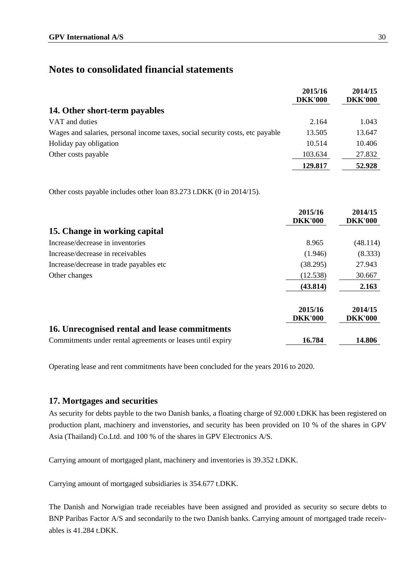|                                                                               | 2015/16<br><b>DKK'000</b> | 2014/15<br><b>DKK'000</b> |
|-------------------------------------------------------------------------------|---------------------------|---------------------------|
| 14. Other short-term payables                                                 |                           |                           |
| VAT and duties                                                                | 2.164                     | 1.043                     |
| Wages and salaries, personal income taxes, social security costs, etc payable | 13.505                    | 13.647                    |
| Holiday pay obligation                                                        | 10.514                    | 10.406                    |
| Other costs payable                                                           | 103.634                   | 27.832                    |
|                                                                               | 129.817                   | 52.928                    |

Other costs payable includes other loan 83.273 t.DKK (0 in 2014/15).

|                                                            | 2015/16<br><b>DKK'000</b> | 2014/15<br><b>DKK'000</b> |
|------------------------------------------------------------|---------------------------|---------------------------|
| 15. Change in working capital                              |                           |                           |
| Increase/decrease in inventories                           | 8.965                     | (48.114)                  |
| Increase/decrease in receivables                           | (1.946)                   | (8.333)                   |
| Increase/decrease in trade payables etc                    | (38.295)                  | 27.943                    |
| Other changes                                              | (12.538)                  | 30.667                    |
|                                                            | (43.814)                  | 2.163                     |
|                                                            | 2015/16<br><b>DKK'000</b> | 2014/15<br><b>DKK'000</b> |
| 16. Unrecognised rental and lease commitments              |                           |                           |
| Commitments under rental agreements or leases until expiry | 16.784                    | 14.806                    |

Operating lease and rent commitments have been concluded for the years 2016 to 2020.

#### **17. Mortgages and securities**

As security for debts payble to the two Danish banks, a floating charge of 92.000 t.DKK has been registered on production plant, machinery and invenstories, and security has been provided on 10 % of the shares in GPV Asia (Thailand) Co.Ltd. and 100 % of the shares in GPV Electronics A/S.

Carrying amount of mortgaged plant, machinery and inventories is 39.352 t.DKK.

Carrying amount of mortgaged subsidiaries is 354.677 t.DKK.

The Danish and Norwigian trade receiables have been assigned and provided as security so secure debts to BNP Paribas Factor A/S and secondarily to the two Danish banks. Carrying amount of mortgaged trade receivables is 41.284 t.DKK.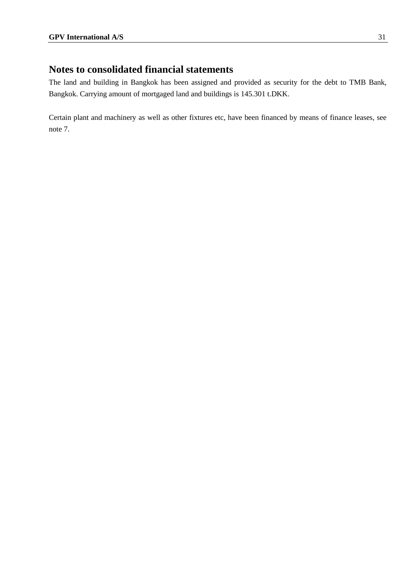The land and building in Bangkok has been assigned and provided as security for the debt to TMB Bank, Bangkok. Carrying amount of mortgaged land and buildings is 145.301 t.DKK.

Certain plant and machinery as well as other fixtures etc, have been financed by means of finance leases, see note 7.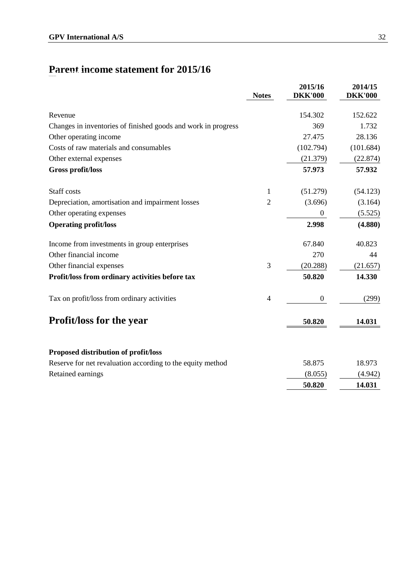# **Parent income statement for 2015/16 Parent income stateme nt for 2015/16**

|                                                               | <b>Notes</b>             | 2015/16<br><b>DKK'000</b> | 2014/15<br><b>DKK'000</b> |
|---------------------------------------------------------------|--------------------------|---------------------------|---------------------------|
| Revenue                                                       |                          | 154.302                   | 152.622                   |
| Changes in inventories of finished goods and work in progress |                          | 369                       | 1.732                     |
| Other operating income                                        |                          | 27.475                    | 28.136                    |
| Costs of raw materials and consumables                        |                          | (102.794)                 | (101.684)                 |
| Other external expenses                                       |                          | (21.379)                  | (22.874)                  |
| Gross profit/loss                                             |                          | 57.973                    | 57.932                    |
| Staff costs                                                   | 1                        | (51.279)                  | (54.123)                  |
| Depreciation, amortisation and impairment losses              | $\overline{2}$           | (3.696)                   | (3.164)                   |
| Other operating expenses                                      |                          | $\boldsymbol{0}$          | (5.525)                   |
| <b>Operating profit/loss</b>                                  |                          | 2.998                     | (4.880)                   |
| Income from investments in group enterprises                  |                          | 67.840                    | 40.823                    |
| Other financial income                                        |                          | 270                       | 44                        |
| Other financial expenses                                      | 3                        | (20.288)                  | (21.657)                  |
| Profit/loss from ordinary activities before tax               |                          | 50.820                    | 14.330                    |
| Tax on profit/loss from ordinary activities                   | $\overline{\mathcal{A}}$ | $\boldsymbol{0}$          | (299)                     |
| <b>Profit/loss for the year</b>                               |                          | 50.820                    | 14.031                    |
| Proposed distribution of profit/loss                          |                          |                           |                           |
| Reserve for net revaluation according to the equity method    |                          | 58.875                    | 18.973                    |
| Retained earnings                                             |                          | (8.055)                   | (4.942)                   |
|                                                               |                          | 50.820                    | 14.031                    |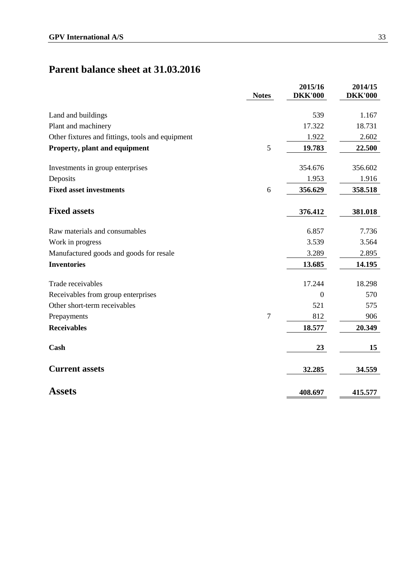# **Parent balance sheet at 31.03.2016**

|                                                  | <b>Notes</b> | 2015/16<br><b>DKK'000</b> | 2014/15<br><b>DKK'000</b> |
|--------------------------------------------------|--------------|---------------------------|---------------------------|
| Land and buildings                               |              | 539                       | 1.167                     |
| Plant and machinery                              |              | 17.322                    | 18.731                    |
| Other fixtures and fittings, tools and equipment |              | 1.922                     | 2.602                     |
| Property, plant and equipment                    | 5            | 19.783                    | 22.500                    |
| Investments in group enterprises                 |              | 354.676                   | 356.602                   |
| Deposits                                         |              | 1.953                     | 1.916                     |
| <b>Fixed asset investments</b>                   | 6            | 356.629                   | 358.518                   |
| <b>Fixed assets</b>                              |              | 376.412                   | 381.018                   |
| Raw materials and consumables                    |              | 6.857                     | 7.736                     |
| Work in progress                                 |              | 3.539                     | 3.564                     |
| Manufactured goods and goods for resale          |              | 3.289                     | 2.895                     |
| <b>Inventories</b>                               |              | 13.685                    | 14.195                    |
| Trade receivables                                |              | 17.244                    | 18.298                    |
| Receivables from group enterprises               |              | $\mathbf{0}$              | 570                       |
| Other short-term receivables                     |              | 521                       | 575                       |
| Prepayments                                      | $\tau$       | 812                       | 906                       |
| <b>Receivables</b>                               |              | 18.577                    | 20.349                    |
| Cash                                             |              | 23                        | 15                        |
| <b>Current assets</b>                            |              | 32.285                    | 34.559                    |
| <b>Assets</b>                                    |              | 408.697                   | 415.577                   |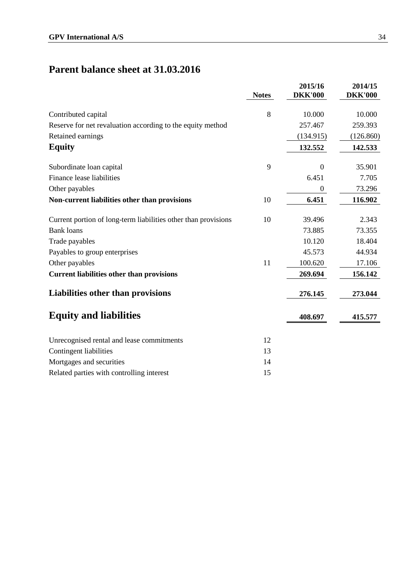# **Parent balance sheet at 31.03.2016**

|                                                                | <b>Notes</b> | 2015/16<br><b>DKK'000</b> | 2014/15<br><b>DKK'000</b> |
|----------------------------------------------------------------|--------------|---------------------------|---------------------------|
| Contributed capital                                            | 8            | 10.000                    | 10.000                    |
| Reserve for net revaluation according to the equity method     |              | 257.467                   | 259.393                   |
| Retained earnings                                              |              | (134.915)                 | (126.860)                 |
| <b>Equity</b>                                                  |              | 132.552                   | 142.533                   |
| Subordinate loan capital                                       | 9            | $\Omega$                  | 35.901                    |
| Finance lease liabilities                                      |              | 6.451                     | 7.705                     |
| Other payables                                                 |              | $\overline{0}$            | 73.296                    |
| Non-current liabilities other than provisions                  | 10           | 6.451                     | 116.902                   |
| Current portion of long-term liabilities other than provisions | 10           | 39.496                    | 2.343                     |
| <b>Bank</b> loans                                              |              | 73.885                    | 73.355                    |
| Trade payables                                                 |              | 10.120                    | 18.404                    |
| Payables to group enterprises                                  |              | 45.573                    | 44.934                    |
| Other payables                                                 | 11           | 100.620                   | 17.106                    |
| <b>Current liabilities other than provisions</b>               |              | 269.694                   | 156.142                   |
| <b>Liabilities other than provisions</b>                       |              | 276.145                   | 273.044                   |
| <b>Equity and liabilities</b>                                  |              | 408.697                   | 415.577                   |
| Unrecognised rental and lease commitments                      | 12           |                           |                           |
| Contingent liabilities                                         | 13           |                           |                           |
| Mortgages and securities                                       | 14           |                           |                           |
| Related parties with controlling interest                      | 15           |                           |                           |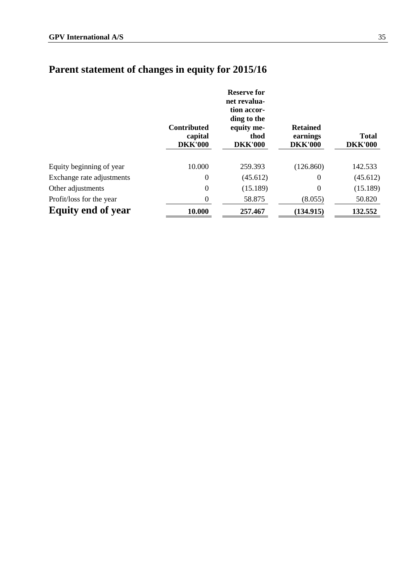|                           | <b>Contributed</b><br>capital<br><b>DKK'000</b> | <b>Reserve for</b><br>net revalua-<br>tion accor-<br>ding to the<br>equity me-<br>thod<br><b>DKK'000</b> | <b>Retained</b><br>earnings<br><b>DKK'000</b> | <b>Total</b><br><b>DKK'000</b> |
|---------------------------|-------------------------------------------------|----------------------------------------------------------------------------------------------------------|-----------------------------------------------|--------------------------------|
| Equity beginning of year  | 10.000                                          | 259.393                                                                                                  | (126.860)                                     | 142.533                        |
| Exchange rate adjustments | $\boldsymbol{0}$                                | (45.612)                                                                                                 | 0                                             | (45.612)                       |
| Other adjustments         | $\boldsymbol{0}$                                | (15.189)                                                                                                 | 0                                             | (15.189)                       |
| Profit/loss for the year  | $\boldsymbol{0}$                                | 58.875                                                                                                   | (8.055)                                       | 50.820                         |
| <b>Equity end of year</b> | 10.000                                          | 257,467                                                                                                  | (134.915)                                     | 132.552                        |

# **Parent statement of changes in equity for 2015/16 Parent statement of changes in e quity for 2015/16**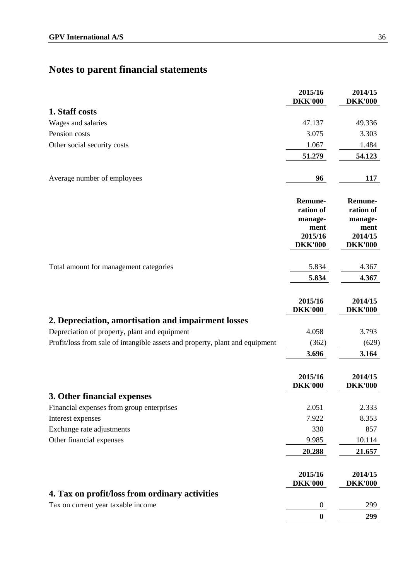|                                                                              | 2015/16<br><b>DKK'000</b>                                                   | 2014/15<br><b>DKK'000</b>                                            |
|------------------------------------------------------------------------------|-----------------------------------------------------------------------------|----------------------------------------------------------------------|
| 1. Staff costs                                                               |                                                                             |                                                                      |
| Wages and salaries                                                           | 47.137                                                                      | 49.336                                                               |
| Pension costs                                                                | 3.075                                                                       | 3.303                                                                |
| Other social security costs                                                  | 1.067                                                                       | 1.484                                                                |
|                                                                              | 51.279                                                                      | 54.123                                                               |
| Average number of employees                                                  | 96                                                                          | 117                                                                  |
|                                                                              | <b>Remune-</b><br>ration of<br>manage-<br>ment<br>2015/16<br><b>DKK'000</b> | Remune-<br>ration of<br>manage-<br>ment<br>2014/15<br><b>DKK'000</b> |
| Total amount for management categories                                       | 5.834                                                                       | 4.367                                                                |
|                                                                              | 5.834                                                                       | 4.367                                                                |
|                                                                              |                                                                             |                                                                      |
|                                                                              | 2015/16<br><b>DKK'000</b>                                                   | 2014/15<br><b>DKK'000</b>                                            |
| 2. Depreciation, amortisation and impairment losses                          |                                                                             |                                                                      |
| Depreciation of property, plant and equipment                                | 4.058                                                                       | 3.793                                                                |
| Profit/loss from sale of intangible assets and property, plant and equipment | (362)                                                                       | (629)                                                                |
|                                                                              | 3.696                                                                       | 3.164                                                                |
|                                                                              | 2015/16<br><b>DKK'000</b>                                                   | 2014/15<br><b>DKK'000</b>                                            |
| 3. Other financial expenses                                                  |                                                                             |                                                                      |
| Financial expenses from group enterprises                                    | 2.051                                                                       | 2.333                                                                |
| Interest expenses                                                            | 7.922                                                                       | 8.353                                                                |
| Exchange rate adjustments                                                    | 330                                                                         | 857                                                                  |
| Other financial expenses                                                     | 9.985                                                                       | 10.114                                                               |
|                                                                              | 20.288                                                                      | 21.657                                                               |
|                                                                              | 2015/16<br><b>DKK'000</b>                                                   | 2014/15<br><b>DKK'000</b>                                            |
| 4. Tax on profit/loss from ordinary activities                               |                                                                             |                                                                      |
| Tax on current year taxable income                                           | $\overline{0}$                                                              | 299                                                                  |
|                                                                              | $\bf{0}$                                                                    | 299                                                                  |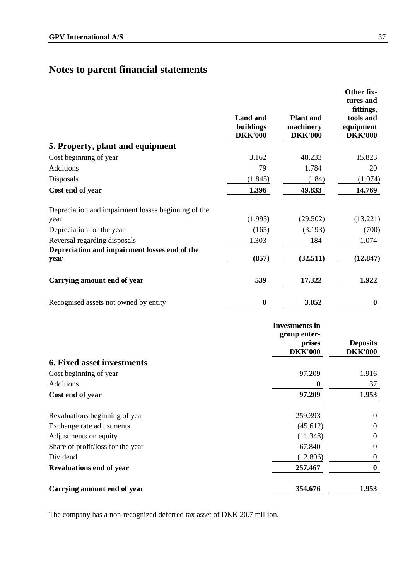|                                                       | <b>Land and</b><br>buildings<br><b>DKK'000</b> | <b>Plant</b> and<br>machinery<br><b>DKK'000</b>                   | Other fix-<br>tures and<br>fittings,<br>tools and<br>equipment<br><b>DKK'000</b> |
|-------------------------------------------------------|------------------------------------------------|-------------------------------------------------------------------|----------------------------------------------------------------------------------|
| 5. Property, plant and equipment                      |                                                |                                                                   |                                                                                  |
| Cost beginning of year                                | 3.162                                          | 48.233                                                            | 15.823                                                                           |
| <b>Additions</b>                                      | 79                                             | 1.784                                                             | 20                                                                               |
| Disposals                                             | (1.845)                                        | (184)                                                             | (1.074)                                                                          |
| Cost end of year                                      | 1.396                                          | 49.833                                                            | 14.769                                                                           |
| Depreciation and impairment losses beginning of the   |                                                |                                                                   |                                                                                  |
| year                                                  | (1.995)                                        | (29.502)                                                          | (13.221)                                                                         |
| Depreciation for the year                             | (165)                                          | (3.193)                                                           | (700)                                                                            |
| Reversal regarding disposals                          | 1.303                                          | 184                                                               | 1.074                                                                            |
| Depreciation and impairment losses end of the<br>year | (857)                                          | (32.511)                                                          | (12.847)                                                                         |
| Carrying amount end of year                           | 539                                            | 17.322                                                            | 1.922                                                                            |
| Recognised assets not owned by entity                 | $\boldsymbol{0}$                               | 3.052                                                             | $\boldsymbol{0}$                                                                 |
|                                                       |                                                | <b>Investments</b> in<br>group enter-<br>prises<br><b>DKK'000</b> | <b>Deposits</b><br><b>DKK'000</b>                                                |
| <b>6. Fixed asset investments</b>                     |                                                |                                                                   |                                                                                  |
| Cost beginning of year                                |                                                | 97.209                                                            | 1.916                                                                            |
| Additions                                             |                                                | 0                                                                 | 37                                                                               |
| Cost end of year                                      |                                                | 97.209                                                            | 1.953                                                                            |
| Revaluations beginning of year                        |                                                | 259.393                                                           | $\overline{0}$                                                                   |
| Exchange rate adjustments                             |                                                | (45.612)                                                          | 0                                                                                |
| Adjustments on equity                                 |                                                | (11.348)                                                          | 0                                                                                |
| Share of profit/loss for the year                     |                                                | 67.840                                                            | $\boldsymbol{0}$                                                                 |
| Dividend                                              |                                                | (12.806)                                                          | $\overline{0}$                                                                   |
| <b>Revaluations end of year</b>                       |                                                | 257.467                                                           | $\bf{0}$                                                                         |
| Carrying amount end of year                           |                                                | 354.676                                                           | 1.953                                                                            |

The company has a non-recognized deferred tax asset of DKK 20.7 million.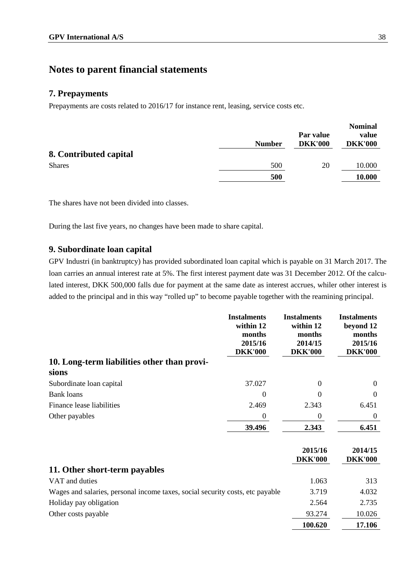#### **7. Prepayments**

Prepayments are costs related to 2016/17 for instance rent, leasing, service costs etc.

|                        | <b>Number</b> | Par value<br><b>DKK'000</b> | <b>Nominal</b><br>value<br><b>DKK'000</b> |
|------------------------|---------------|-----------------------------|-------------------------------------------|
| 8. Contributed capital |               |                             |                                           |
| <b>Shares</b>          | 500           | 20                          | 10.000                                    |
|                        | 500           |                             | 10.000                                    |

The shares have not been divided into classes.

During the last five years, no changes have been made to share capital.

#### **9. Subordinate loan capital**

GPV Industri (in banktruptcy) has provided subordinated loan capital which is payable on 31 March 2017. The loan carries an annual interest rate at 5%. The first interest payment date was 31 December 2012. Of the calculated interest, DKK 500,000 falls due for payment at the same date as interest accrues, whiler other interest is added to the principal and in this way "rolled up" to become payable together with the reamining principal.

|                                                                               | <b>Instalments</b><br>within 12<br>months<br>2015/16<br><b>DKK'000</b> | <b>Instalments</b><br>within 12<br>months<br>2014/15<br><b>DKK'000</b> | <b>Instalments</b><br>beyond 12<br>months<br>2015/16<br><b>DKK'000</b> |
|-------------------------------------------------------------------------------|------------------------------------------------------------------------|------------------------------------------------------------------------|------------------------------------------------------------------------|
| 10. Long-term liabilities other than provi-                                   |                                                                        |                                                                        |                                                                        |
| sions                                                                         |                                                                        |                                                                        |                                                                        |
| Subordinate loan capital                                                      | 37.027                                                                 | $\Omega$                                                               | $\Omega$                                                               |
| <b>Bank loans</b>                                                             | $\Omega$                                                               | $\Omega$                                                               | 0                                                                      |
| Finance lease liabilities                                                     | 2.469                                                                  | 2.343                                                                  | 6.451                                                                  |
| Other payables                                                                | $\boldsymbol{0}$                                                       | $\boldsymbol{0}$                                                       | $\overline{0}$                                                         |
|                                                                               | 39.496                                                                 | 2.343                                                                  | 6.451                                                                  |
|                                                                               |                                                                        | 2015/16<br><b>DKK'000</b>                                              | 2014/15<br><b>DKK'000</b>                                              |
| 11. Other short-term payables                                                 |                                                                        |                                                                        |                                                                        |
| VAT and duties                                                                |                                                                        | 1.063                                                                  | 313                                                                    |
| Wages and salaries, personal income taxes, social security costs, etc payable |                                                                        | 3.719                                                                  | 4.032                                                                  |
| Holiday pay obligation                                                        |                                                                        | 2.564                                                                  | 2.735                                                                  |
| Other costs payable                                                           |                                                                        | 93.274                                                                 | 10.026                                                                 |
|                                                                               |                                                                        | 100.620                                                                | 17.106                                                                 |